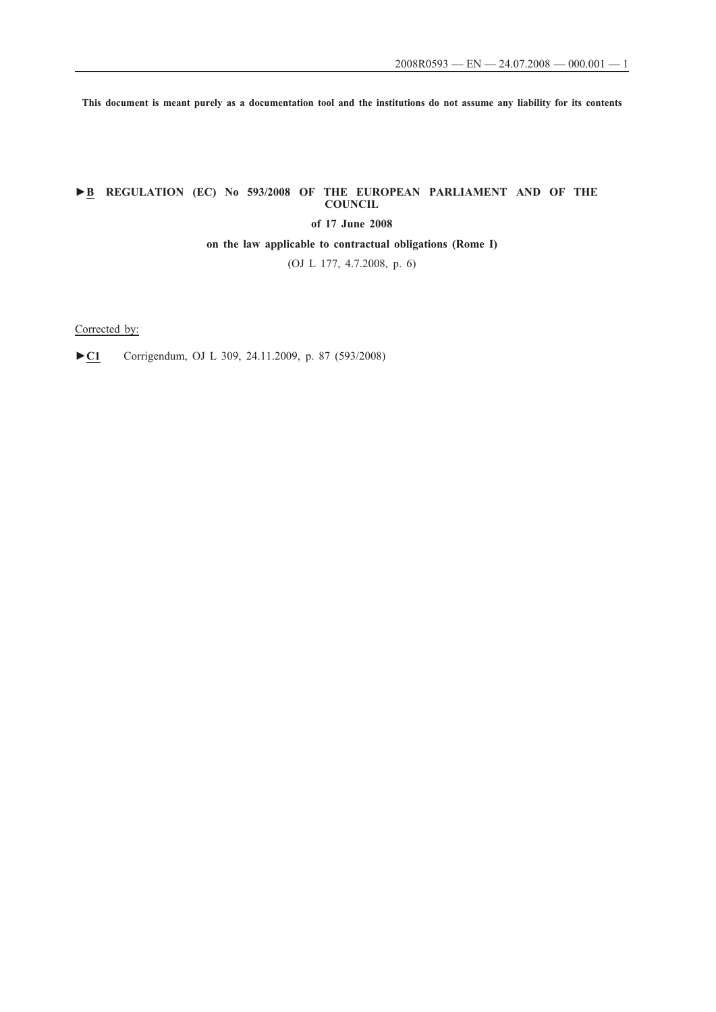**This document is meant purely as a documentation tool and the institutions do not assume any liability for its contents**

# **►B REGULATION (EC) No 593/2008 OF THE EUROPEAN PARLIAMENT AND OF THE COUNCIL**

**of 17 June 2008**

**on the law applicable to contractual obligations (Rome I)**

(OJ L 177, 4.7.2008, p. 6)

Corrected by:

►**C1** Corrigendum, OJ L 309, 24.11.2009, p. 87 (593/2008)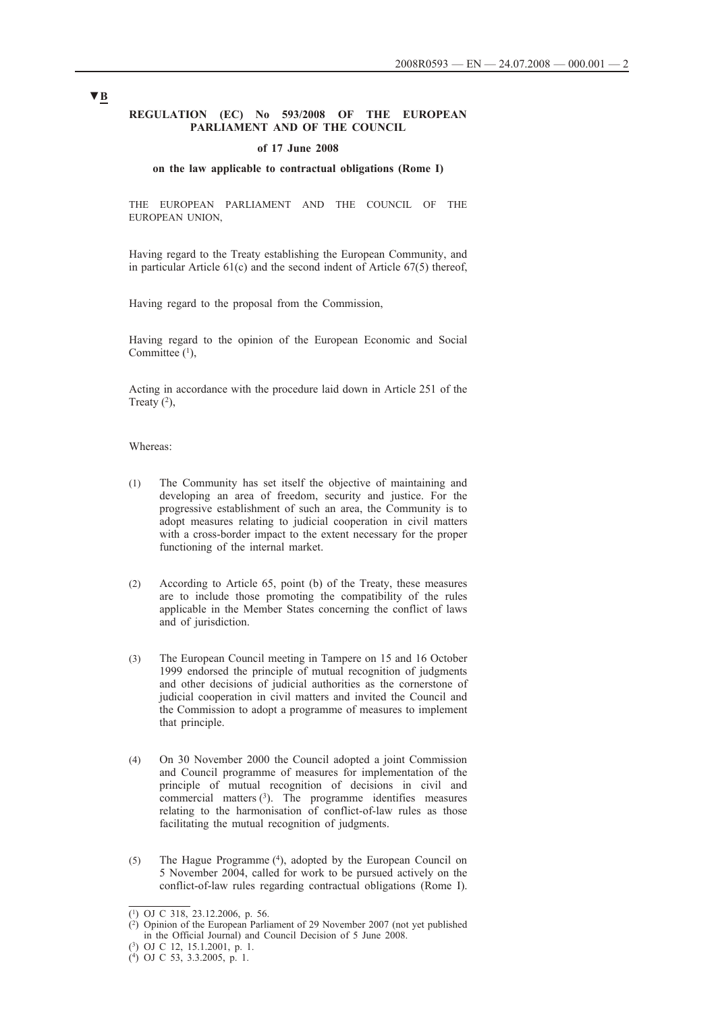### **REGULATION (EC) No 593/2008 OF THE EUROPEAN PARLIAMENT AND OF THE COUNCIL**

#### **of 17 June 2008**

### **on the law applicable to contractual obligations (Rome I)**

THE EUROPEAN PARLIAMENT AND THE COUNCIL OF THE EUROPEAN UNION,

Having regard to the Treaty establishing the European Community, and in particular Article 61(c) and the second indent of Article 67(5) thereof,

Having regard to the proposal from the Commission,

Having regard to the opinion of the European Economic and Social Committee  $(1)$ ,

Acting in accordance with the procedure laid down in Article 251 of the Treaty  $(2)$ ,

### Whereas:

- (1) The Community has set itself the objective of maintaining and developing an area of freedom, security and justice. For the progressive establishment of such an area, the Community is to adopt measures relating to judicial cooperation in civil matters with a cross-border impact to the extent necessary for the proper functioning of the internal market.
- (2) According to Article 65, point (b) of the Treaty, these measures are to include those promoting the compatibility of the rules applicable in the Member States concerning the conflict of laws and of jurisdiction.
- (3) The European Council meeting in Tampere on 15 and 16 October 1999 endorsed the principle of mutual recognition of judgments and other decisions of judicial authorities as the cornerstone of judicial cooperation in civil matters and invited the Council and the Commission to adopt a programme of measures to implement that principle.
- (4) On 30 November 2000 the Council adopted a joint Commission and Council programme of measures for implementation of the principle of mutual recognition of decisions in civil and commercial matters  $(3)$ . The programme identifies measures relating to the harmonisation of conflict-of-law rules as those facilitating the mutual recognition of judgments.
- (5) The Hague Programme (4), adopted by the European Council on 5 November 2004, called for work to be pursued actively on the conflict-of-law rules regarding contractual obligations (Rome I).

<sup>(1)</sup> OJ C 318, 23.12.2006, p. 56.

 $(2)$  Opinion of the European Parliament of 29 November 2007 (not yet published in the Official Journal) and Council Decision of 5 June 2008.

<sup>(3)</sup> OJ C 12, 15.1.2001, p. 1.

<sup>(4)</sup> OJ C 53, 3.3.2005, p. 1.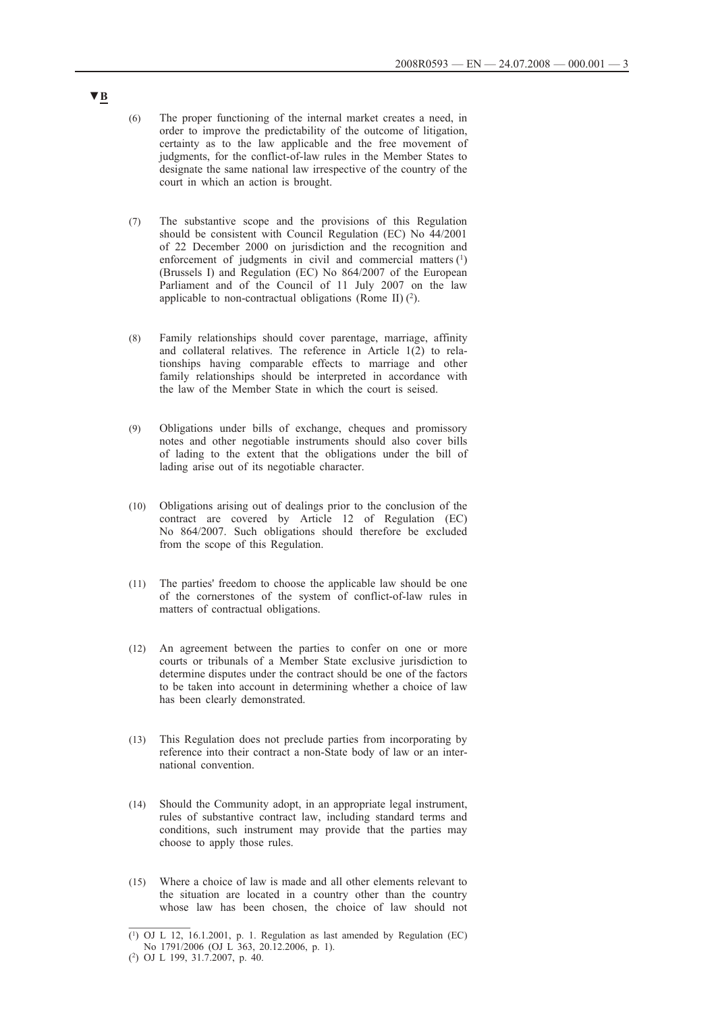- (6) The proper functioning of the internal market creates a need, in order to improve the predictability of the outcome of litigation, certainty as to the law applicable and the free movement of judgments, for the conflict-of-law rules in the Member States to designate the same national law irrespective of the country of the court in which an action is brought.
- (7) The substantive scope and the provisions of this Regulation should be consistent with Council Regulation (EC) No 44/2001 of 22 December 2000 on jurisdiction and the recognition and enforcement of judgments in civil and commercial matters (1) (Brussels I) and Regulation (EC) No 864/2007 of the European Parliament and of the Council of 11 July 2007 on the law applicable to non-contractual obligations (Rome II)  $(2)$ .
- (8) Family relationships should cover parentage, marriage, affinity and collateral relatives. The reference in Article 1(2) to relationships having comparable effects to marriage and other family relationships should be interpreted in accordance with the law of the Member State in which the court is seised.
- (9) Obligations under bills of exchange, cheques and promissory notes and other negotiable instruments should also cover bills of lading to the extent that the obligations under the bill of lading arise out of its negotiable character.
- (10) Obligations arising out of dealings prior to the conclusion of the contract are covered by Article 12 of Regulation (EC) No 864/2007. Such obligations should therefore be excluded from the scope of this Regulation.
- (11) The parties' freedom to choose the applicable law should be one of the cornerstones of the system of conflict-of-law rules in matters of contractual obligations.
- (12) An agreement between the parties to confer on one or more courts or tribunals of a Member State exclusive jurisdiction to determine disputes under the contract should be one of the factors to be taken into account in determining whether a choice of law has been clearly demonstrated.
- (13) This Regulation does not preclude parties from incorporating by reference into their contract a non-State body of law or an international convention.
- (14) Should the Community adopt, in an appropriate legal instrument, rules of substantive contract law, including standard terms and conditions, such instrument may provide that the parties may choose to apply those rules.
- (15) Where a choice of law is made and all other elements relevant to the situation are located in a country other than the country whose law has been chosen, the choice of law should not

<sup>(1)</sup> OJ L 12, 16.1.2001, p. 1. Regulation as last amended by Regulation (EC) No 1791/2006 (OJ L 363, 20.12.2006, p. 1).

<sup>(2)</sup> OJ L 199, 31.7.2007, p. 40.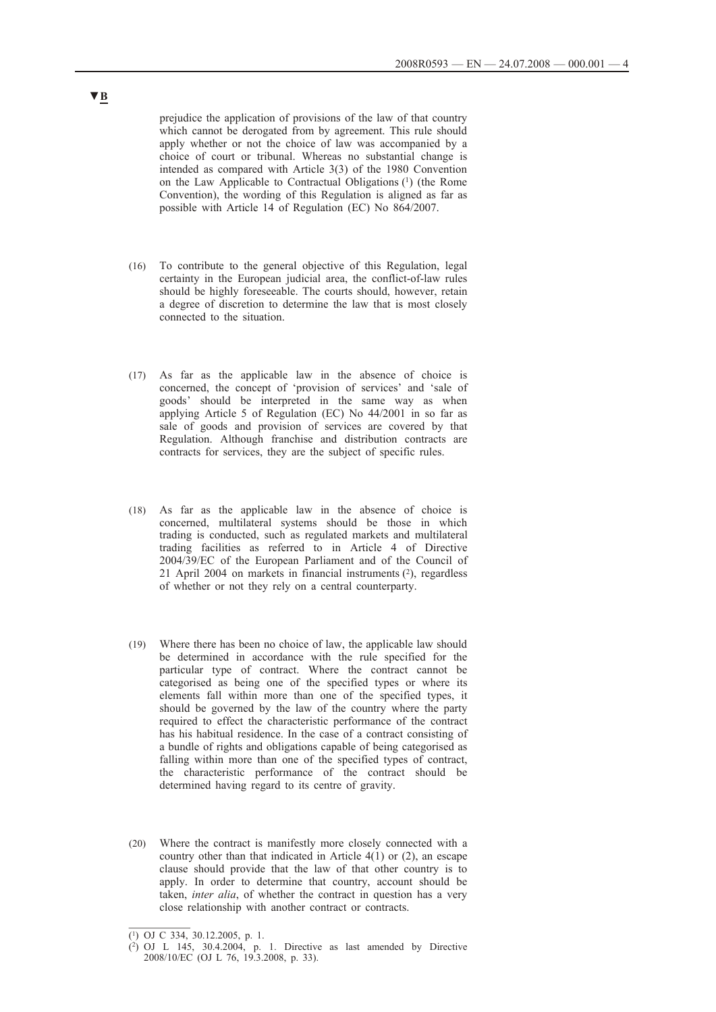prejudice the application of provisions of the law of that country which cannot be derogated from by agreement. This rule should apply whether or not the choice of law was accompanied by a choice of court or tribunal. Whereas no substantial change is intended as compared with Article 3(3) of the 1980 Convention on the Law Applicable to Contractual Obligations (1) (the Rome Convention), the wording of this Regulation is aligned as far as possible with Article 14 of Regulation (EC) No 864/2007.

- (16) To contribute to the general objective of this Regulation, legal certainty in the European judicial area, the conflict-of-law rules should be highly foreseeable. The courts should, however, retain a degree of discretion to determine the law that is most closely connected to the situation.
- (17) As far as the applicable law in the absence of choice is concerned, the concept of 'provision of services' and 'sale of goods' should be interpreted in the same way as when applying Article 5 of Regulation (EC) No 44/2001 in so far as sale of goods and provision of services are covered by that Regulation. Although franchise and distribution contracts are contracts for services, they are the subject of specific rules.
- (18) As far as the applicable law in the absence of choice is concerned, multilateral systems should be those in which trading is conducted, such as regulated markets and multilateral trading facilities as referred to in Article 4 of Directive 2004/39/EC of the European Parliament and of the Council of 21 April 2004 on markets in financial instruments (2), regardless of whether or not they rely on a central counterparty.
- (19) Where there has been no choice of law, the applicable law should be determined in accordance with the rule specified for the particular type of contract. Where the contract cannot be categorised as being one of the specified types or where its elements fall within more than one of the specified types, it should be governed by the law of the country where the party required to effect the characteristic performance of the contract has his habitual residence. In the case of a contract consisting of a bundle of rights and obligations capable of being categorised as falling within more than one of the specified types of contract, the characteristic performance of the contract should be determined having regard to its centre of gravity.
- (20) Where the contract is manifestly more closely connected with a country other than that indicated in Article 4(1) or (2), an escape clause should provide that the law of that other country is to apply. In order to determine that country, account should be taken, *inter alia*, of whether the contract in question has a very close relationship with another contract or contracts.

 $\overline{(^1)}$  OJ C 334, 30.12.2005, p. 1.

<sup>(2)</sup> OJ L 145, 30.4.2004, p. 1. Directive as last amended by Directive 2008/10/EC (OJ L 76, 19.3.2008, p. 33).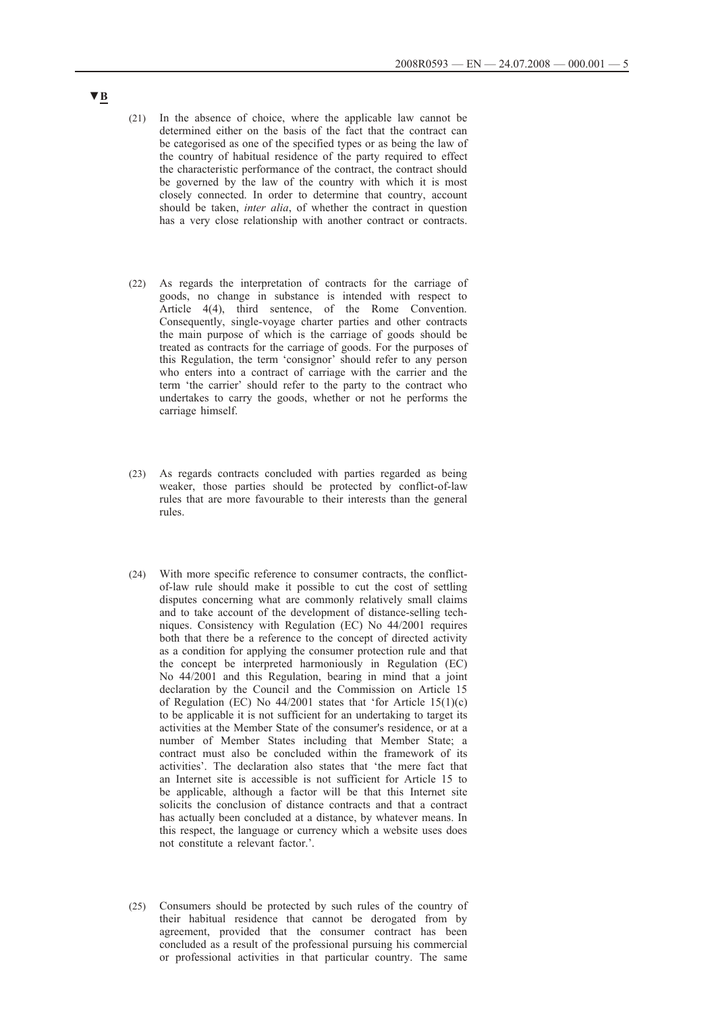- (21) In the absence of choice, where the applicable law cannot be determined either on the basis of the fact that the contract can be categorised as one of the specified types or as being the law of the country of habitual residence of the party required to effect the characteristic performance of the contract, the contract should be governed by the law of the country with which it is most closely connected. In order to determine that country, account should be taken, *inter alia*, of whether the contract in question has a very close relationship with another contract or contracts.
- (22) As regards the interpretation of contracts for the carriage of goods, no change in substance is intended with respect to Article 4(4), third sentence, of the Rome Convention. Consequently, single-voyage charter parties and other contracts the main purpose of which is the carriage of goods should be treated as contracts for the carriage of goods. For the purposes of this Regulation, the term 'consignor' should refer to any person who enters into a contract of carriage with the carrier and the term 'the carrier' should refer to the party to the contract who undertakes to carry the goods, whether or not he performs the carriage himself.
- (23) As regards contracts concluded with parties regarded as being weaker, those parties should be protected by conflict-of-law rules that are more favourable to their interests than the general rules.
- (24) With more specific reference to consumer contracts, the conflictof-law rule should make it possible to cut the cost of settling disputes concerning what are commonly relatively small claims and to take account of the development of distance-selling techniques. Consistency with Regulation (EC) No 44/2001 requires both that there be a reference to the concept of directed activity as a condition for applying the consumer protection rule and that the concept be interpreted harmoniously in Regulation (EC) No 44/2001 and this Regulation, bearing in mind that a joint declaration by the Council and the Commission on Article 15 of Regulation (EC) No 44/2001 states that 'for Article 15(1)(c) to be applicable it is not sufficient for an undertaking to target its activities at the Member State of the consumer's residence, or at a number of Member States including that Member State; a contract must also be concluded within the framework of its activities'. The declaration also states that 'the mere fact that an Internet site is accessible is not sufficient for Article 15 to be applicable, although a factor will be that this Internet site solicits the conclusion of distance contracts and that a contract has actually been concluded at a distance, by whatever means. In this respect, the language or currency which a website uses does not constitute a relevant factor.'.
- (25) Consumers should be protected by such rules of the country of their habitual residence that cannot be derogated from by agreement, provided that the consumer contract has been concluded as a result of the professional pursuing his commercial or professional activities in that particular country. The same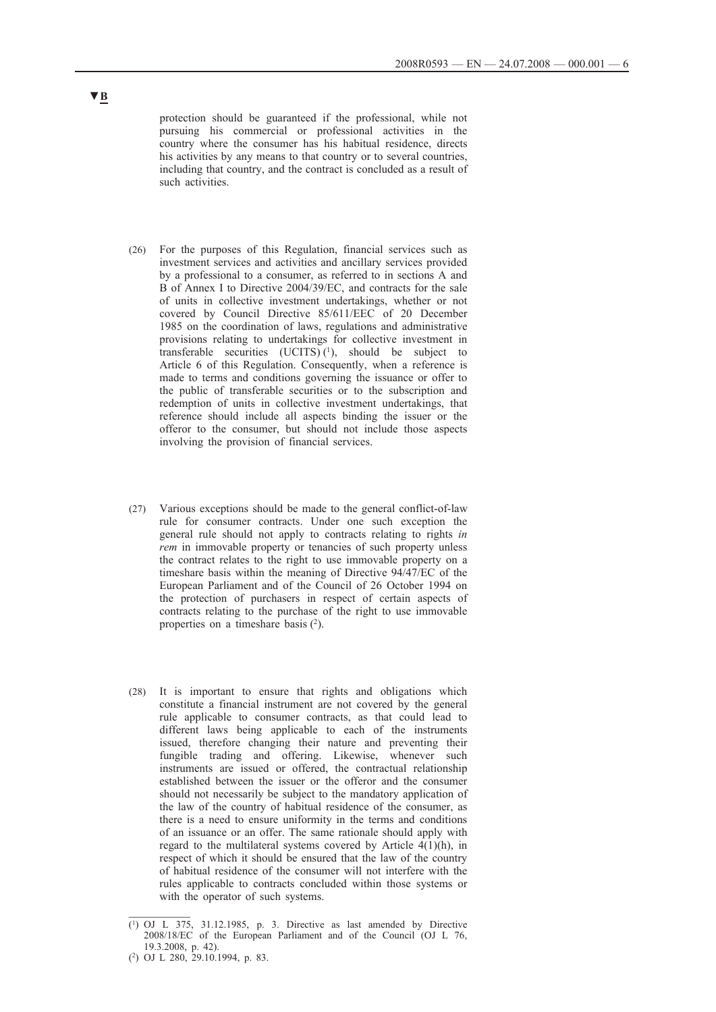protection should be guaranteed if the professional, while not pursuing his commercial or professional activities in the country where the consumer has his habitual residence, directs his activities by any means to that country or to several countries, including that country, and the contract is concluded as a result of such activities.

- (26) For the purposes of this Regulation, financial services such as investment services and activities and ancillary services provided by a professional to a consumer, as referred to in sections A and B of Annex I to Directive 2004/39/EC, and contracts for the sale of units in collective investment undertakings, whether or not covered by Council Directive 85/611/EEC of 20 December 1985 on the coordination of laws, regulations and administrative provisions relating to undertakings for collective investment in transferable securities  $(UCITS)$ <sup>(1</sup>), should be subject to Article 6 of this Regulation. Consequently, when a reference is made to terms and conditions governing the issuance or offer to the public of transferable securities or to the subscription and redemption of units in collective investment undertakings, that reference should include all aspects binding the issuer or the offeror to the consumer, but should not include those aspects involving the provision of financial services.
- (27) Various exceptions should be made to the general conflict-of-law rule for consumer contracts. Under one such exception the general rule should not apply to contracts relating to rights *in rem* in immovable property or tenancies of such property unless the contract relates to the right to use immovable property on a timeshare basis within the meaning of Directive 94/47/EC of the European Parliament and of the Council of 26 October 1994 on the protection of purchasers in respect of certain aspects of contracts relating to the purchase of the right to use immovable properties on a timeshare basis  $(2)$ .
- (28) It is important to ensure that rights and obligations which constitute a financial instrument are not covered by the general rule applicable to consumer contracts, as that could lead to different laws being applicable to each of the instruments issued, therefore changing their nature and preventing their fungible trading and offering. Likewise, whenever such instruments are issued or offered, the contractual relationship established between the issuer or the offeror and the consumer should not necessarily be subject to the mandatory application of the law of the country of habitual residence of the consumer, as there is a need to ensure uniformity in the terms and conditions of an issuance or an offer. The same rationale should apply with regard to the multilateral systems covered by Article  $4(1)(h)$ , in respect of which it should be ensured that the law of the country of habitual residence of the consumer will not interfere with the rules applicable to contracts concluded within those systems or with the operator of such systems.

 $(1)$  OJ L 375, 31.12.1985, p. 3. Directive as last amended by Directive 2008/18/EC of the European Parliament and of the Council (OJ L 76, 19.3.2008, p. 42).

<sup>(2)</sup> OJ L 280, 29.10.1994, p. 83.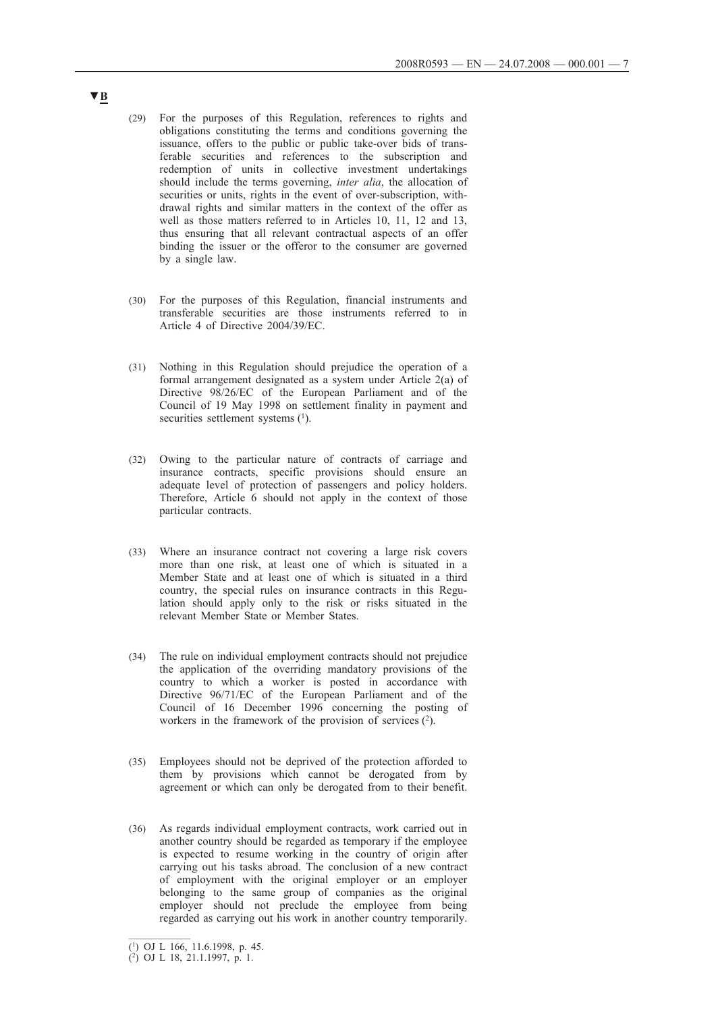- (29) For the purposes of this Regulation, references to rights and obligations constituting the terms and conditions governing the issuance, offers to the public or public take-over bids of transferable securities and references to the subscription and redemption of units in collective investment undertakings should include the terms governing, *inter alia*, the allocation of securities or units, rights in the event of over-subscription, withdrawal rights and similar matters in the context of the offer as well as those matters referred to in Articles 10, 11, 12 and 13, thus ensuring that all relevant contractual aspects of an offer binding the issuer or the offeror to the consumer are governed by a single law.
- (30) For the purposes of this Regulation, financial instruments and transferable securities are those instruments referred to in Article 4 of Directive 2004/39/EC.
- (31) Nothing in this Regulation should prejudice the operation of a formal arrangement designated as a system under Article 2(a) of Directive 98/26/EC of the European Parliament and of the Council of 19 May 1998 on settlement finality in payment and securities settlement systems (1).
- (32) Owing to the particular nature of contracts of carriage and insurance contracts, specific provisions should ensure an adequate level of protection of passengers and policy holders. Therefore, Article 6 should not apply in the context of those particular contracts.
- (33) Where an insurance contract not covering a large risk covers more than one risk, at least one of which is situated in a Member State and at least one of which is situated in a third country, the special rules on insurance contracts in this Regulation should apply only to the risk or risks situated in the relevant Member State or Member States.
- (34) The rule on individual employment contracts should not prejudice the application of the overriding mandatory provisions of the country to which a worker is posted in accordance with Directive 96/71/EC of the European Parliament and of the Council of 16 December 1996 concerning the posting of workers in the framework of the provision of services (2).
- (35) Employees should not be deprived of the protection afforded to them by provisions which cannot be derogated from by agreement or which can only be derogated from to their benefit.
- (36) As regards individual employment contracts, work carried out in another country should be regarded as temporary if the employee is expected to resume working in the country of origin after carrying out his tasks abroad. The conclusion of a new contract of employment with the original employer or an employer belonging to the same group of companies as the original employer should not preclude the employee from being regarded as carrying out his work in another country temporarily.

<sup>(1)</sup> OJ L 166, 11.6.1998, p. 45.

<sup>(2)</sup> OJ L 18, 21.1.1997, p. 1.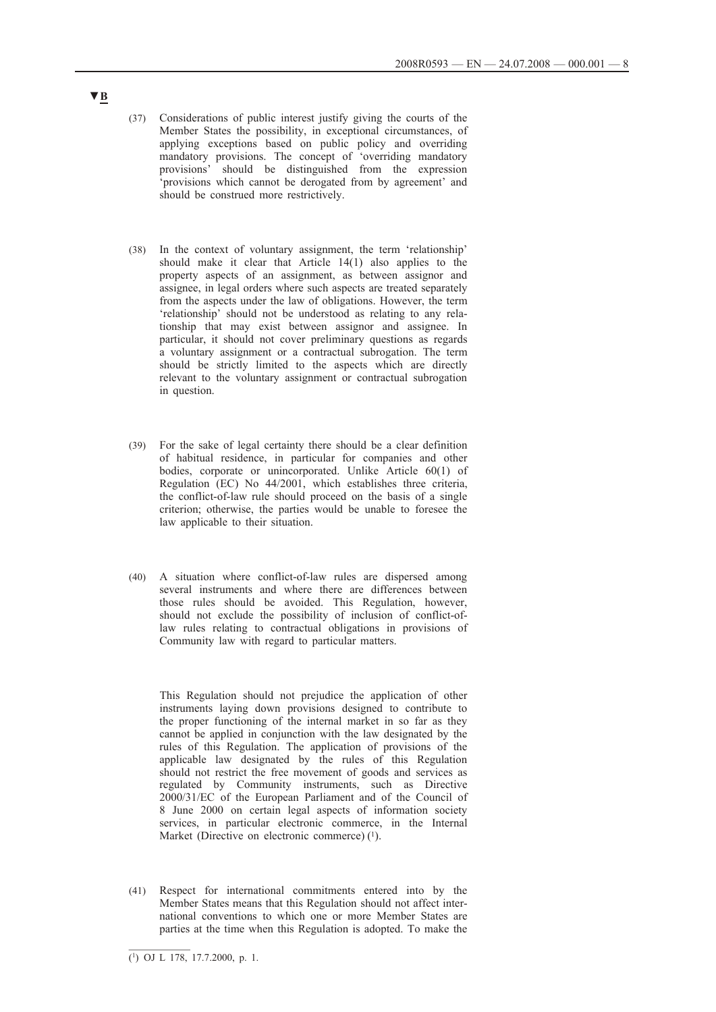- (37) Considerations of public interest justify giving the courts of the Member States the possibility, in exceptional circumstances, of applying exceptions based on public policy and overriding mandatory provisions. The concept of 'overriding mandatory provisions' should be distinguished from the expression 'provisions which cannot be derogated from by agreement' and should be construed more restrictively.
- (38) In the context of voluntary assignment, the term 'relationship' should make it clear that Article 14(1) also applies to the property aspects of an assignment, as between assignor and assignee, in legal orders where such aspects are treated separately from the aspects under the law of obligations. However, the term 'relationship' should not be understood as relating to any relationship that may exist between assignor and assignee. In particular, it should not cover preliminary questions as regards a voluntary assignment or a contractual subrogation. The term should be strictly limited to the aspects which are directly relevant to the voluntary assignment or contractual subrogation in question.
- (39) For the sake of legal certainty there should be a clear definition of habitual residence, in particular for companies and other bodies, corporate or unincorporated. Unlike Article 60(1) of Regulation (EC) No 44/2001, which establishes three criteria, the conflict-of-law rule should proceed on the basis of a single criterion; otherwise, the parties would be unable to foresee the law applicable to their situation.
- (40) A situation where conflict-of-law rules are dispersed among several instruments and where there are differences between those rules should be avoided. This Regulation, however, should not exclude the possibility of inclusion of conflict-oflaw rules relating to contractual obligations in provisions of Community law with regard to particular matters.

This Regulation should not prejudice the application of other instruments laying down provisions designed to contribute to the proper functioning of the internal market in so far as they cannot be applied in conjunction with the law designated by the rules of this Regulation. The application of provisions of the applicable law designated by the rules of this Regulation should not restrict the free movement of goods and services as regulated by Community instruments, such as Directive 2000/31/EC of the European Parliament and of the Council of 8 June 2000 on certain legal aspects of information society services, in particular electronic commerce, in the Internal Market (Directive on electronic commerce) (1).

(41) Respect for international commitments entered into by the Member States means that this Regulation should not affect international conventions to which one or more Member States are parties at the time when this Regulation is adopted. To make the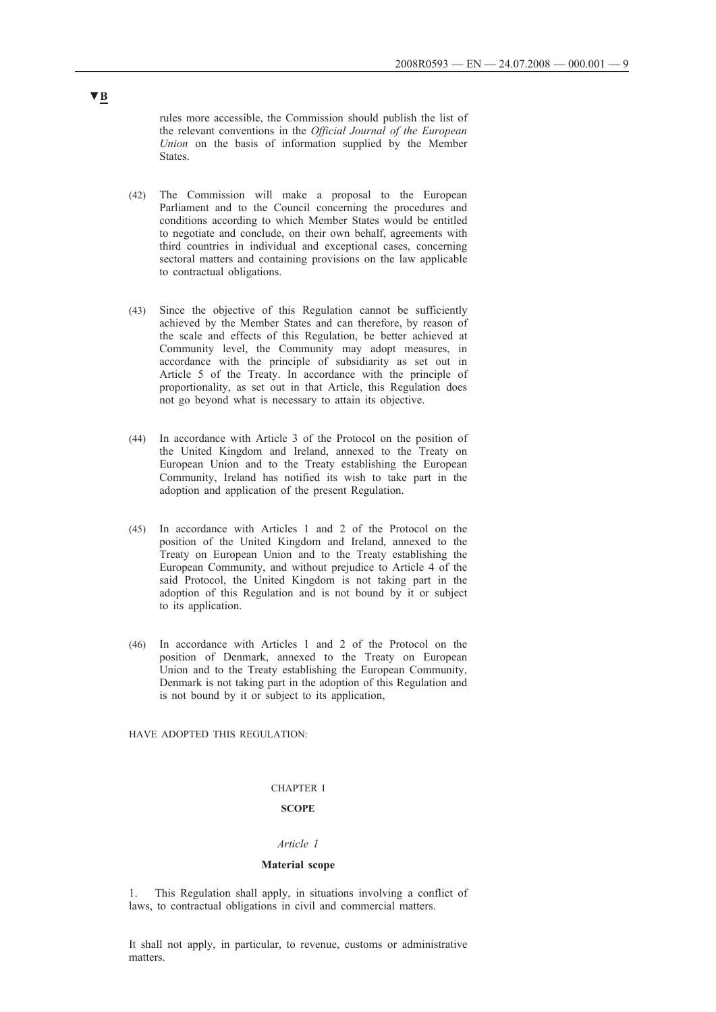rules more accessible, the Commission should publish the list of the relevant conventions in the *Official Journal of the European Union* on the basis of information supplied by the Member States.

- (42) The Commission will make a proposal to the European Parliament and to the Council concerning the procedures and conditions according to which Member States would be entitled to negotiate and conclude, on their own behalf, agreements with third countries in individual and exceptional cases, concerning sectoral matters and containing provisions on the law applicable to contractual obligations.
- (43) Since the objective of this Regulation cannot be sufficiently achieved by the Member States and can therefore, by reason of the scale and effects of this Regulation, be better achieved at Community level, the Community may adopt measures, in accordance with the principle of subsidiarity as set out in Article 5 of the Treaty. In accordance with the principle of proportionality, as set out in that Article, this Regulation does not go beyond what is necessary to attain its objective.
- (44) In accordance with Article 3 of the Protocol on the position of the United Kingdom and Ireland, annexed to the Treaty on European Union and to the Treaty establishing the European Community, Ireland has notified its wish to take part in the adoption and application of the present Regulation.
- (45) In accordance with Articles 1 and 2 of the Protocol on the position of the United Kingdom and Ireland, annexed to the Treaty on European Union and to the Treaty establishing the European Community, and without prejudice to Article 4 of the said Protocol, the United Kingdom is not taking part in the adoption of this Regulation and is not bound by it or subject to its application.
- (46) In accordance with Articles 1 and 2 of the Protocol on the position of Denmark, annexed to the Treaty on European Union and to the Treaty establishing the European Community, Denmark is not taking part in the adoption of this Regulation and is not bound by it or subject to its application,

HAVE ADOPTED THIS REGULATION:

#### CHAPTER I

### **SCOPE**

### *Article 1*

### **Material scope**

1. This Regulation shall apply, in situations involving a conflict of laws, to contractual obligations in civil and commercial matters.

It shall not apply, in particular, to revenue, customs or administrative matters.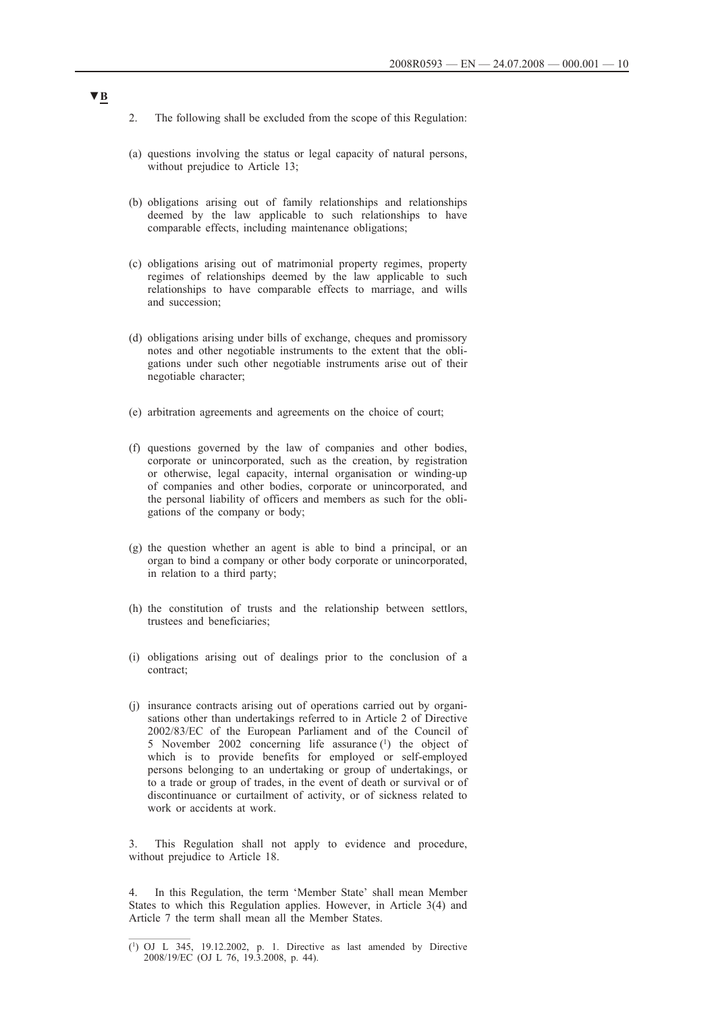- 2. The following shall be excluded from the scope of this Regulation:
- (a) questions involving the status or legal capacity of natural persons, without prejudice to Article 13;
- (b) obligations arising out of family relationships and relationships deemed by the law applicable to such relationships to have comparable effects, including maintenance obligations;
- (c) obligations arising out of matrimonial property regimes, property regimes of relationships deemed by the law applicable to such relationships to have comparable effects to marriage, and wills and succession;
- (d) obligations arising under bills of exchange, cheques and promissory notes and other negotiable instruments to the extent that the obligations under such other negotiable instruments arise out of their negotiable character;
- (e) arbitration agreements and agreements on the choice of court;
- (f) questions governed by the law of companies and other bodies, corporate or unincorporated, such as the creation, by registration or otherwise, legal capacity, internal organisation or winding-up of companies and other bodies, corporate or unincorporated, and the personal liability of officers and members as such for the obligations of the company or body;
- (g) the question whether an agent is able to bind a principal, or an organ to bind a company or other body corporate or unincorporated, in relation to a third party;
- (h) the constitution of trusts and the relationship between settlors, trustees and beneficiaries;
- (i) obligations arising out of dealings prior to the conclusion of a contract;
- (j) insurance contracts arising out of operations carried out by organisations other than undertakings referred to in Article 2 of Directive 2002/83/EC of the European Parliament and of the Council of 5 November 2002 concerning life assurance (1) the object of which is to provide benefits for employed or self-employed persons belonging to an undertaking or group of undertakings, or to a trade or group of trades, in the event of death or survival or of discontinuance or curtailment of activity, or of sickness related to work or accidents at work.

3. This Regulation shall not apply to evidence and procedure, without prejudice to Article 18.

4. In this Regulation, the term 'Member State' shall mean Member States to which this Regulation applies. However, in Article 3(4) and Article 7 the term shall mean all the Member States.

<sup>(1)</sup> OJ L 345, 19.12.2002, p. 1. Directive as last amended by Directive 2008/19/EC (OJ L 76, 19.3.2008, p. 44).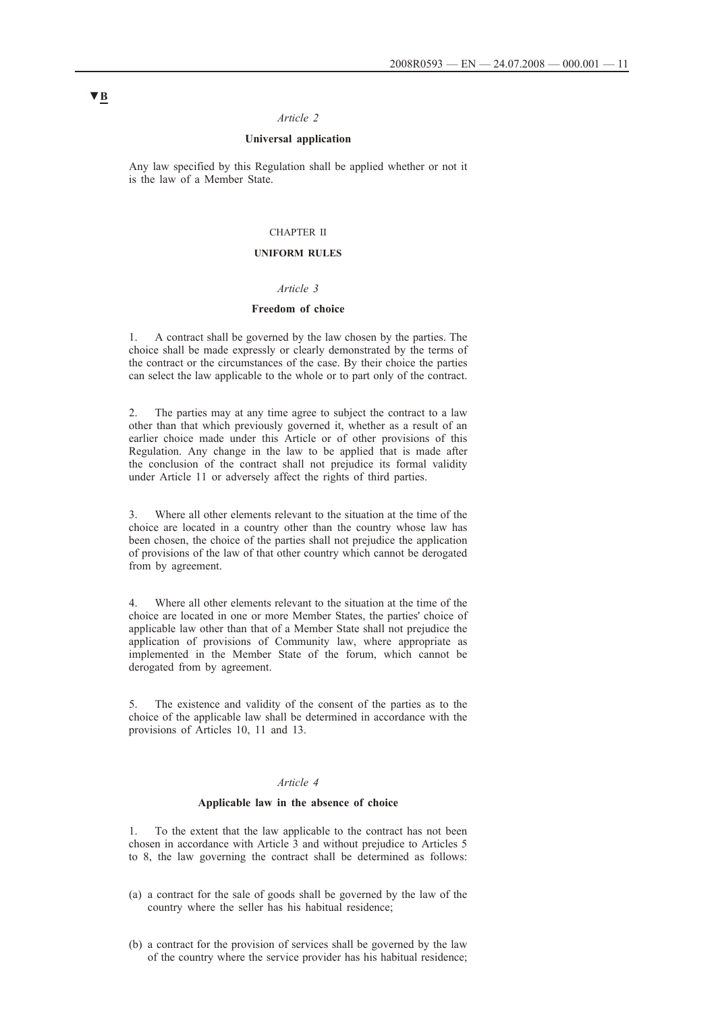## **Universal application**

Any law specified by this Regulation shall be applied whether or not it is the law of a Member State.

### CHAPTER II

### **UNIFORM RULES**

## *Article 3*

## **Freedom of choice**

1. A contract shall be governed by the law chosen by the parties. The choice shall be made expressly or clearly demonstrated by the terms of the contract or the circumstances of the case. By their choice the parties can select the law applicable to the whole or to part only of the contract.

2. The parties may at any time agree to subject the contract to a law other than that which previously governed it, whether as a result of an earlier choice made under this Article or of other provisions of this Regulation. Any change in the law to be applied that is made after the conclusion of the contract shall not prejudice its formal validity under Article 11 or adversely affect the rights of third parties.

3. Where all other elements relevant to the situation at the time of the choice are located in a country other than the country whose law has been chosen, the choice of the parties shall not prejudice the application of provisions of the law of that other country which cannot be derogated from by agreement.

4. Where all other elements relevant to the situation at the time of the choice are located in one or more Member States, the parties' choice of applicable law other than that of a Member State shall not prejudice the application of provisions of Community law, where appropriate as implemented in the Member State of the forum, which cannot be derogated from by agreement.

5. The existence and validity of the consent of the parties as to the choice of the applicable law shall be determined in accordance with the provisions of Articles 10, 11 and 13.

## *Article 4*

#### **Applicable law in the absence of choice**

1. To the extent that the law applicable to the contract has not been chosen in accordance with Article 3 and without prejudice to Articles 5 to 8, the law governing the contract shall be determined as follows:

- (a) a contract for the sale of goods shall be governed by the law of the country where the seller has his habitual residence;
- (b) a contract for the provision of services shall be governed by the law of the country where the service provider has his habitual residence;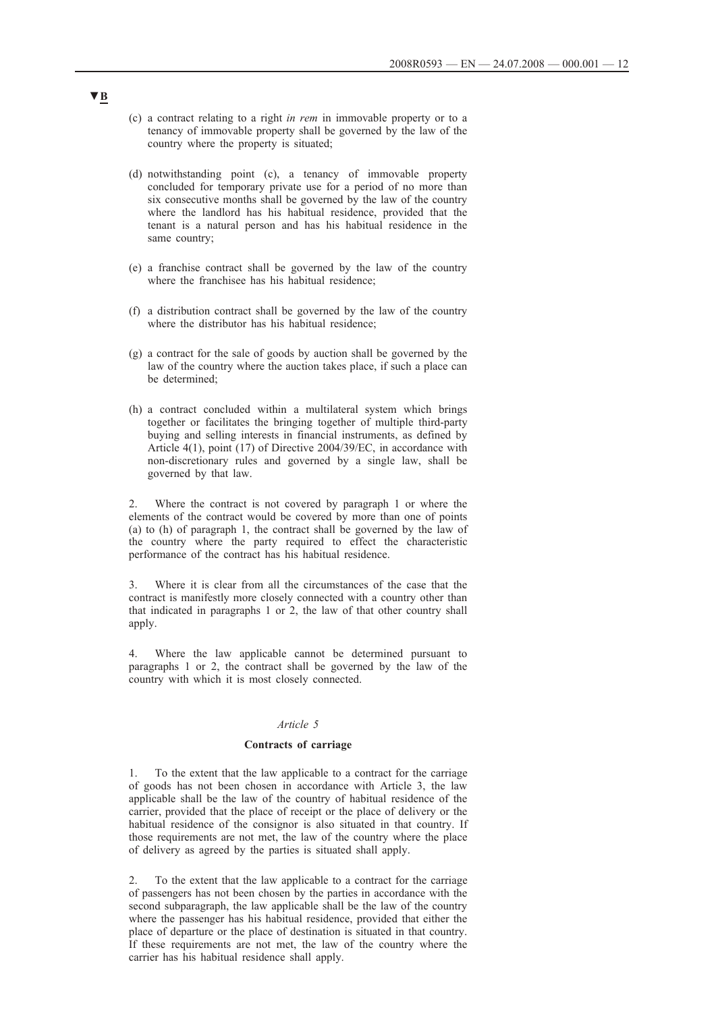- (c) a contract relating to a right *in rem* in immovable property or to a tenancy of immovable property shall be governed by the law of the country where the property is situated;
- (d) notwithstanding point (c), a tenancy of immovable property concluded for temporary private use for a period of no more than six consecutive months shall be governed by the law of the country where the landlord has his habitual residence, provided that the tenant is a natural person and has his habitual residence in the same country;
- (e) a franchise contract shall be governed by the law of the country where the franchisee has his habitual residence;
- (f) a distribution contract shall be governed by the law of the country where the distributor has his habitual residence;
- (g) a contract for the sale of goods by auction shall be governed by the law of the country where the auction takes place, if such a place can be determined;
- (h) a contract concluded within a multilateral system which brings together or facilitates the bringing together of multiple third-party buying and selling interests in financial instruments, as defined by Article 4(1), point (17) of Directive 2004/39/EC, in accordance with non-discretionary rules and governed by a single law, shall be governed by that law.

2. Where the contract is not covered by paragraph 1 or where the elements of the contract would be covered by more than one of points (a) to (h) of paragraph 1, the contract shall be governed by the law of the country where the party required to effect the characteristic performance of the contract has his habitual residence.

3. Where it is clear from all the circumstances of the case that the contract is manifestly more closely connected with a country other than that indicated in paragraphs 1 or 2, the law of that other country shall apply.

4. Where the law applicable cannot be determined pursuant to paragraphs 1 or 2, the contract shall be governed by the law of the country with which it is most closely connected.

#### *Article 5*

### **Contracts of carriage**

1. To the extent that the law applicable to a contract for the carriage of goods has not been chosen in accordance with Article 3, the law applicable shall be the law of the country of habitual residence of the carrier, provided that the place of receipt or the place of delivery or the habitual residence of the consignor is also situated in that country. If those requirements are not met, the law of the country where the place of delivery as agreed by the parties is situated shall apply.

2. To the extent that the law applicable to a contract for the carriage of passengers has not been chosen by the parties in accordance with the second subparagraph, the law applicable shall be the law of the country where the passenger has his habitual residence, provided that either the place of departure or the place of destination is situated in that country. If these requirements are not met, the law of the country where the carrier has his habitual residence shall apply.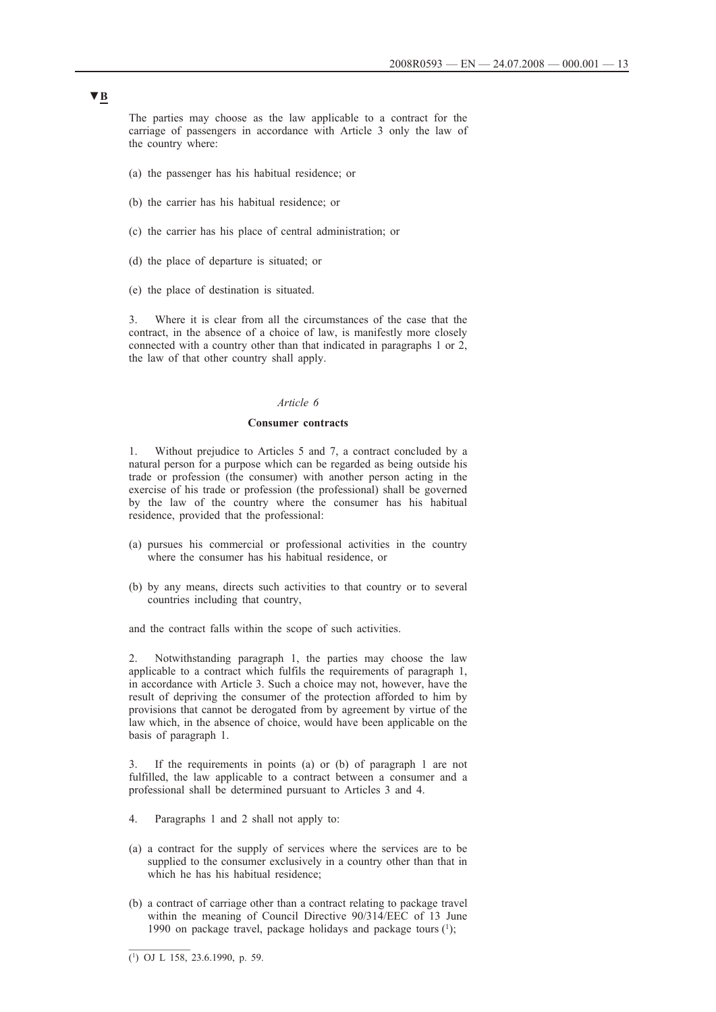The parties may choose as the law applicable to a contract for the carriage of passengers in accordance with Article 3 only the law of the country where:

- (a) the passenger has his habitual residence; or
- (b) the carrier has his habitual residence; or
- (c) the carrier has his place of central administration; or
- (d) the place of departure is situated; or
- (e) the place of destination is situated.

3. Where it is clear from all the circumstances of the case that the contract, in the absence of a choice of law, is manifestly more closely connected with a country other than that indicated in paragraphs 1 or 2, the law of that other country shall apply.

## *Article 6*

#### **Consumer contracts**

Without prejudice to Articles 5 and 7, a contract concluded by a natural person for a purpose which can be regarded as being outside his trade or profession (the consumer) with another person acting in the exercise of his trade or profession (the professional) shall be governed by the law of the country where the consumer has his habitual residence, provided that the professional:

- (a) pursues his commercial or professional activities in the country where the consumer has his habitual residence, or
- (b) by any means, directs such activities to that country or to several countries including that country,

and the contract falls within the scope of such activities.

2. Notwithstanding paragraph 1, the parties may choose the law applicable to a contract which fulfils the requirements of paragraph 1, in accordance with Article 3. Such a choice may not, however, have the result of depriving the consumer of the protection afforded to him by provisions that cannot be derogated from by agreement by virtue of the law which, in the absence of choice, would have been applicable on the basis of paragraph 1.

3. If the requirements in points (a) or (b) of paragraph 1 are not fulfilled, the law applicable to a contract between a consumer and a professional shall be determined pursuant to Articles 3 and 4.

- 4. Paragraphs 1 and 2 shall not apply to:
- (a) a contract for the supply of services where the services are to be supplied to the consumer exclusively in a country other than that in which he has his habitual residence;
- (b) a contract of carriage other than a contract relating to package travel within the meaning of Council Directive 90/314/EEC of 13 June 1990 on package travel, package holidays and package tours  $(1)$ ;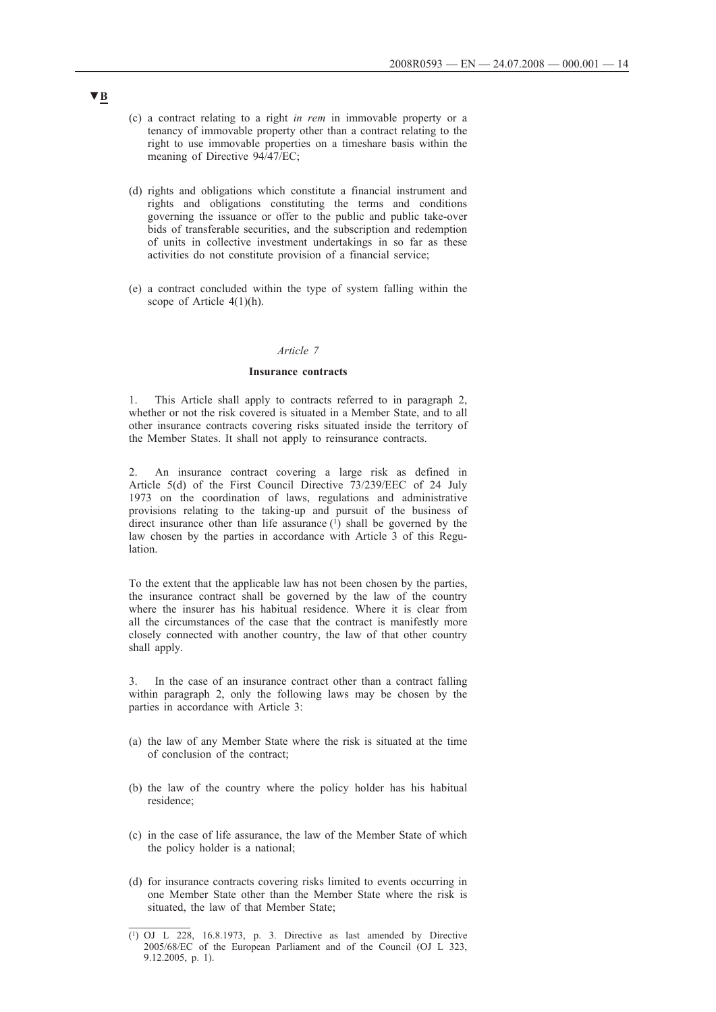- (c) a contract relating to a right *in rem* in immovable property or a tenancy of immovable property other than a contract relating to the right to use immovable properties on a timeshare basis within the meaning of Directive 94/47/EC;
- (d) rights and obligations which constitute a financial instrument and rights and obligations constituting the terms and conditions governing the issuance or offer to the public and public take-over bids of transferable securities, and the subscription and redemption of units in collective investment undertakings in so far as these activities do not constitute provision of a financial service;
- (e) a contract concluded within the type of system falling within the scope of Article 4(1)(h).

### **Insurance contracts**

1. This Article shall apply to contracts referred to in paragraph 2, whether or not the risk covered is situated in a Member State, and to all other insurance contracts covering risks situated inside the territory of the Member States. It shall not apply to reinsurance contracts.

2. An insurance contract covering a large risk as defined in Article 5(d) of the First Council Directive 73/239/EEC of 24 July 1973 on the coordination of laws, regulations and administrative provisions relating to the taking-up and pursuit of the business of direct insurance other than life assurance  $(1)$  shall be governed by the law chosen by the parties in accordance with Article 3 of this Regulation.

To the extent that the applicable law has not been chosen by the parties, the insurance contract shall be governed by the law of the country where the insurer has his habitual residence. Where it is clear from all the circumstances of the case that the contract is manifestly more closely connected with another country, the law of that other country shall apply.

3. In the case of an insurance contract other than a contract falling within paragraph 2, only the following laws may be chosen by the parties in accordance with Article 3:

- (a) the law of any Member State where the risk is situated at the time of conclusion of the contract;
- (b) the law of the country where the policy holder has his habitual residence;
- (c) in the case of life assurance, the law of the Member State of which the policy holder is a national;
- (d) for insurance contracts covering risks limited to events occurring in one Member State other than the Member State where the risk is situated, the law of that Member State;

<sup>(1)</sup> OJ L 228, 16.8.1973, p. 3. Directive as last amended by Directive 2005/68/EC of the European Parliament and of the Council (OJ L 323, 9.12.2005, p. 1).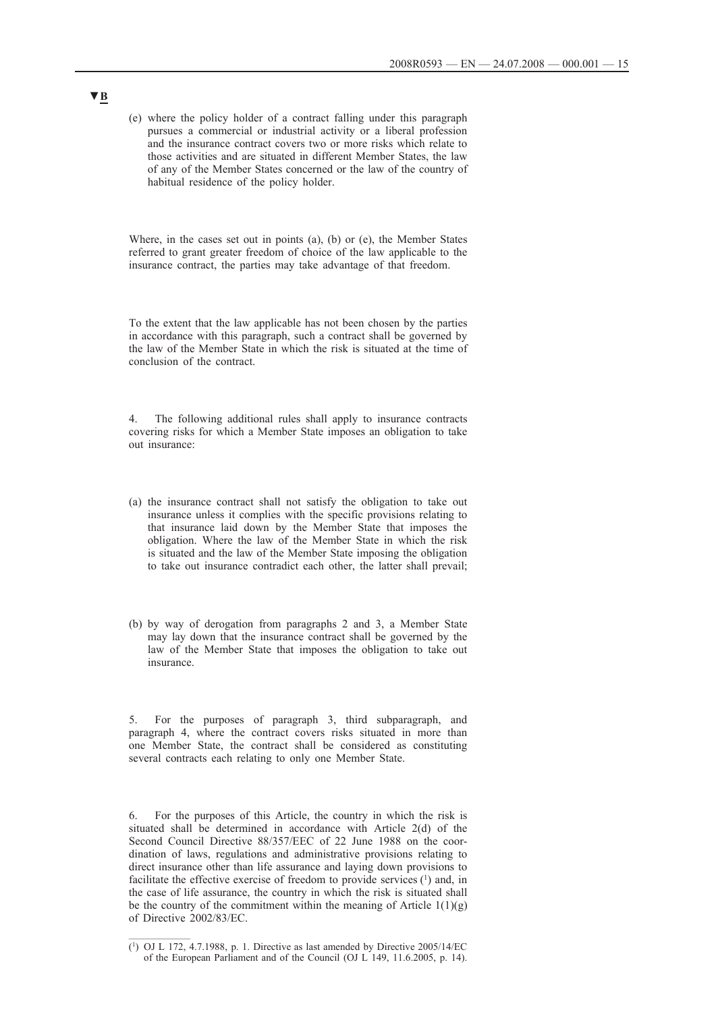(e) where the policy holder of a contract falling under this paragraph pursues a commercial or industrial activity or a liberal profession and the insurance contract covers two or more risks which relate to those activities and are situated in different Member States, the law of any of the Member States concerned or the law of the country of habitual residence of the policy holder.

Where, in the cases set out in points (a), (b) or (e), the Member States referred to grant greater freedom of choice of the law applicable to the insurance contract, the parties may take advantage of that freedom.

To the extent that the law applicable has not been chosen by the parties in accordance with this paragraph, such a contract shall be governed by the law of the Member State in which the risk is situated at the time of conclusion of the contract.

4. The following additional rules shall apply to insurance contracts covering risks for which a Member State imposes an obligation to take out insurance:

- (a) the insurance contract shall not satisfy the obligation to take out insurance unless it complies with the specific provisions relating to that insurance laid down by the Member State that imposes the obligation. Where the law of the Member State in which the risk is situated and the law of the Member State imposing the obligation to take out insurance contradict each other, the latter shall prevail;
- (b) by way of derogation from paragraphs 2 and 3, a Member State may lay down that the insurance contract shall be governed by the law of the Member State that imposes the obligation to take out insurance.

5. For the purposes of paragraph 3, third subparagraph, and paragraph 4, where the contract covers risks situated in more than one Member State, the contract shall be considered as constituting several contracts each relating to only one Member State.

6. For the purposes of this Article, the country in which the risk is situated shall be determined in accordance with Article 2(d) of the Second Council Directive 88/357/EEC of 22 June 1988 on the coordination of laws, regulations and administrative provisions relating to direct insurance other than life assurance and laying down provisions to facilitate the effective exercise of freedom to provide services  $(1)$  and, in the case of life assurance, the country in which the risk is situated shall be the country of the commitment within the meaning of Article  $1(1)(g)$ of Directive 2002/83/EC.

<sup>(1)</sup> OJ L 172, 4.7.1988, p. 1. Directive as last amended by Directive 2005/14/EC of the European Parliament and of the Council (OJ L 149, 11.6.2005, p. 14).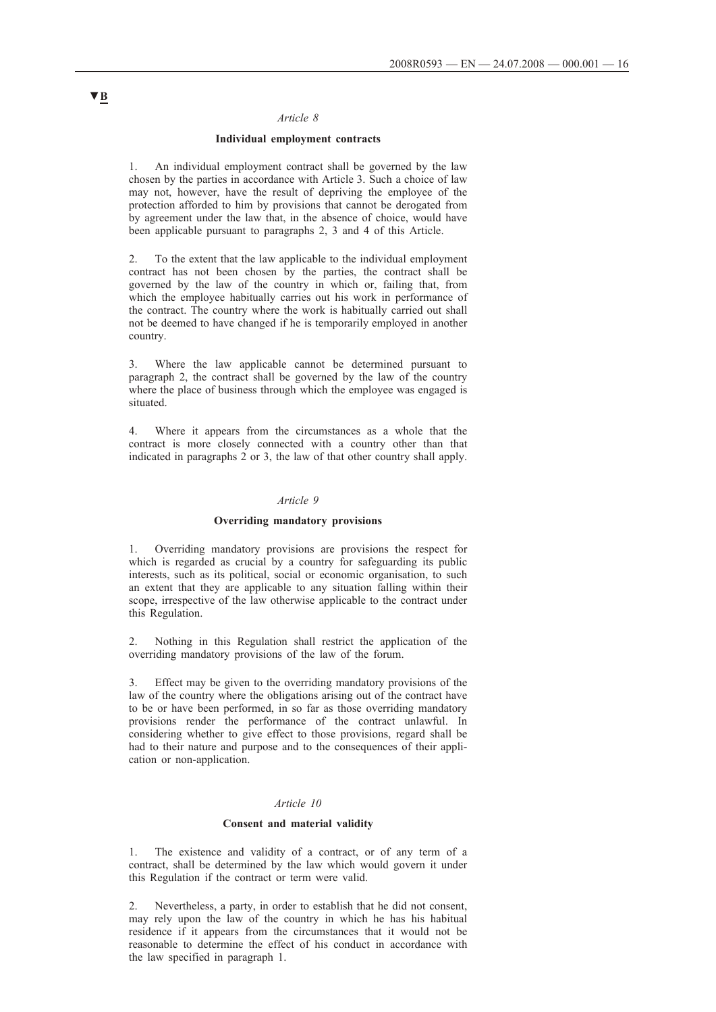#### **Individual employment contracts**

1. An individual employment contract shall be governed by the law chosen by the parties in accordance with Article 3. Such a choice of law may not, however, have the result of depriving the employee of the protection afforded to him by provisions that cannot be derogated from by agreement under the law that, in the absence of choice, would have been applicable pursuant to paragraphs 2, 3 and 4 of this Article.

2. To the extent that the law applicable to the individual employment contract has not been chosen by the parties, the contract shall be governed by the law of the country in which or, failing that, from which the employee habitually carries out his work in performance of the contract. The country where the work is habitually carried out shall not be deemed to have changed if he is temporarily employed in another country.

3. Where the law applicable cannot be determined pursuant to paragraph 2, the contract shall be governed by the law of the country where the place of business through which the employee was engaged is situated.

4. Where it appears from the circumstances as a whole that the contract is more closely connected with a country other than that indicated in paragraphs 2 or 3, the law of that other country shall apply.

#### *Article 9*

#### **Overriding mandatory provisions**

1. Overriding mandatory provisions are provisions the respect for which is regarded as crucial by a country for safeguarding its public interests, such as its political, social or economic organisation, to such an extent that they are applicable to any situation falling within their scope, irrespective of the law otherwise applicable to the contract under this Regulation.

2. Nothing in this Regulation shall restrict the application of the overriding mandatory provisions of the law of the forum.

3. Effect may be given to the overriding mandatory provisions of the law of the country where the obligations arising out of the contract have to be or have been performed, in so far as those overriding mandatory provisions render the performance of the contract unlawful. In considering whether to give effect to those provisions, regard shall be had to their nature and purpose and to the consequences of their application or non-application.

### *Article 10*

#### **Consent and material validity**

1. The existence and validity of a contract, or of any term of a contract, shall be determined by the law which would govern it under this Regulation if the contract or term were valid.

2. Nevertheless, a party, in order to establish that he did not consent, may rely upon the law of the country in which he has his habitual residence if it appears from the circumstances that it would not be reasonable to determine the effect of his conduct in accordance with the law specified in paragraph 1.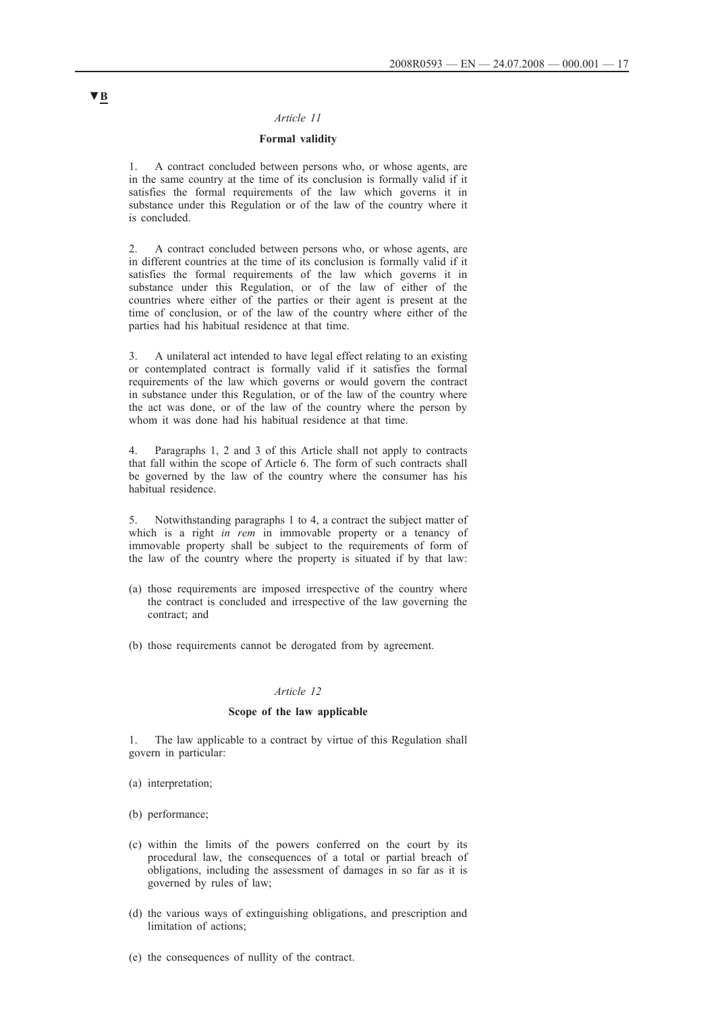## **Formal validity**

1. A contract concluded between persons who, or whose agents, are in the same country at the time of its conclusion is formally valid if it satisfies the formal requirements of the law which governs it in substance under this Regulation or of the law of the country where it is concluded.

2. A contract concluded between persons who, or whose agents, are in different countries at the time of its conclusion is formally valid if it satisfies the formal requirements of the law which governs it in substance under this Regulation, or of the law of either of the countries where either of the parties or their agent is present at the time of conclusion, or of the law of the country where either of the parties had his habitual residence at that time.

3. A unilateral act intended to have legal effect relating to an existing or contemplated contract is formally valid if it satisfies the formal requirements of the law which governs or would govern the contract in substance under this Regulation, or of the law of the country where the act was done, or of the law of the country where the person by whom it was done had his habitual residence at that time.

4. Paragraphs 1, 2 and 3 of this Article shall not apply to contracts that fall within the scope of Article 6. The form of such contracts shall be governed by the law of the country where the consumer has his habitual residence.

5. Notwithstanding paragraphs 1 to 4, a contract the subject matter of which is a right *in rem* in immovable property or a tenancy of immovable property shall be subject to the requirements of form of the law of the country where the property is situated if by that law:

- (a) those requirements are imposed irrespective of the country where the contract is concluded and irrespective of the law governing the contract; and
- (b) those requirements cannot be derogated from by agreement.

#### *Article 12*

### **Scope of the law applicable**

1. The law applicable to a contract by virtue of this Regulation shall govern in particular:

- (a) interpretation;
- (b) performance;
- (c) within the limits of the powers conferred on the court by its procedural law, the consequences of a total or partial breach of obligations, including the assessment of damages in so far as it is governed by rules of law;
- (d) the various ways of extinguishing obligations, and prescription and limitation of actions;
- (e) the consequences of nullity of the contract.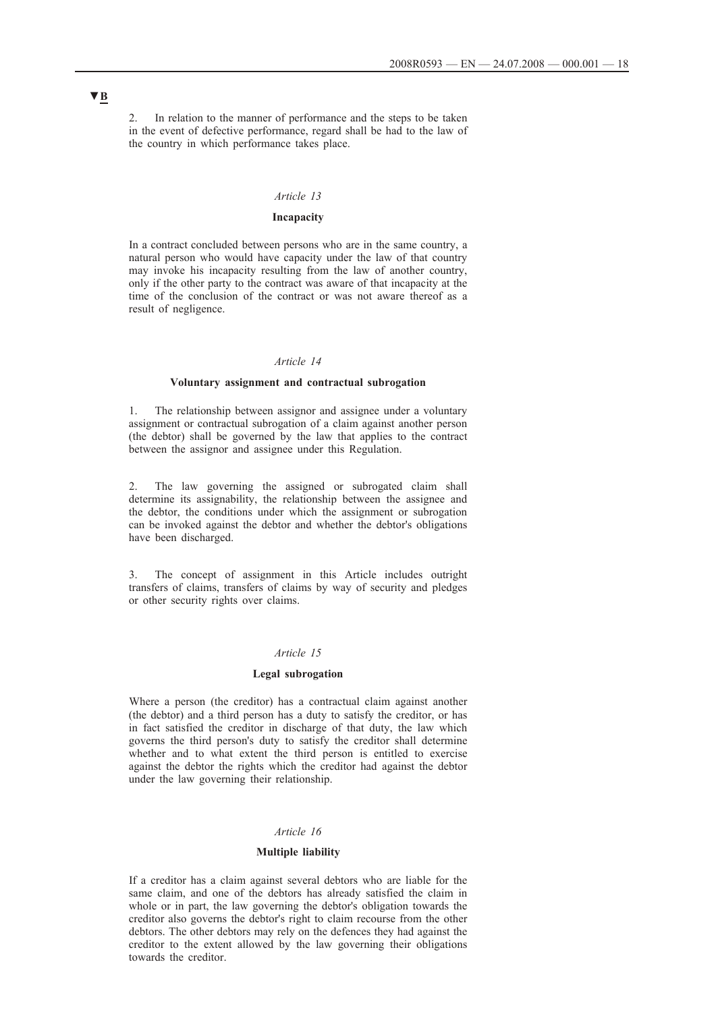2. In relation to the manner of performance and the steps to be taken in the event of defective performance, regard shall be had to the law of the country in which performance takes place.

## *Article 13*

## **Incapacity**

In a contract concluded between persons who are in the same country, a natural person who would have capacity under the law of that country may invoke his incapacity resulting from the law of another country, only if the other party to the contract was aware of that incapacity at the time of the conclusion of the contract or was not aware thereof as a result of negligence.

# *Article 14*

### **Voluntary assignment and contractual subrogation**

1. The relationship between assignor and assignee under a voluntary assignment or contractual subrogation of a claim against another person (the debtor) shall be governed by the law that applies to the contract between the assignor and assignee under this Regulation.

2. The law governing the assigned or subrogated claim shall determine its assignability, the relationship between the assignee and the debtor, the conditions under which the assignment or subrogation can be invoked against the debtor and whether the debtor's obligations have been discharged.

3. The concept of assignment in this Article includes outright transfers of claims, transfers of claims by way of security and pledges or other security rights over claims.

## *Article 15*

#### **Legal subrogation**

Where a person (the creditor) has a contractual claim against another (the debtor) and a third person has a duty to satisfy the creditor, or has in fact satisfied the creditor in discharge of that duty, the law which governs the third person's duty to satisfy the creditor shall determine whether and to what extent the third person is entitled to exercise against the debtor the rights which the creditor had against the debtor under the law governing their relationship.

### *Article 16*

#### **Multiple liability**

If a creditor has a claim against several debtors who are liable for the same claim, and one of the debtors has already satisfied the claim in whole or in part, the law governing the debtor's obligation towards the creditor also governs the debtor's right to claim recourse from the other debtors. The other debtors may rely on the defences they had against the creditor to the extent allowed by the law governing their obligations towards the creditor.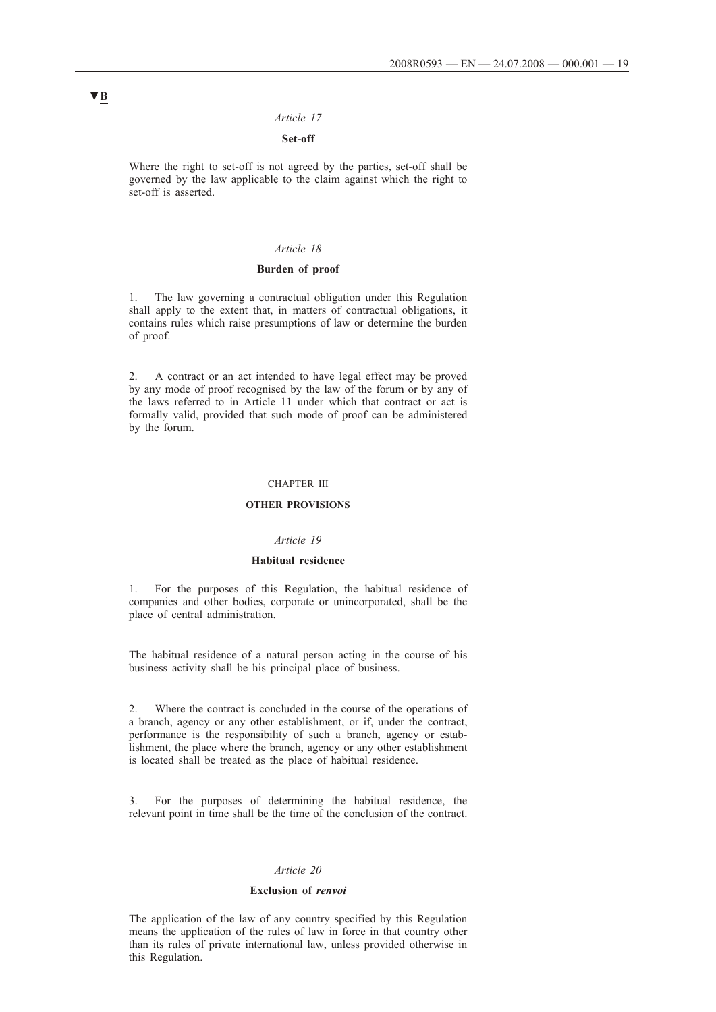## **Set-off**

Where the right to set-off is not agreed by the parties, set-off shall be governed by the law applicable to the claim against which the right to set-off is asserted.

#### *Article 18*

#### **Burden of proof**

1. The law governing a contractual obligation under this Regulation shall apply to the extent that, in matters of contractual obligations, it contains rules which raise presumptions of law or determine the burden of proof.

2. A contract or an act intended to have legal effect may be proved by any mode of proof recognised by the law of the forum or by any of the laws referred to in Article 11 under which that contract or act is formally valid, provided that such mode of proof can be administered by the forum.

### CHAPTER III

### **OTHER PROVISIONS**

### *Article 19*

## **Habitual residence**

1. For the purposes of this Regulation, the habitual residence of companies and other bodies, corporate or unincorporated, shall be the place of central administration.

The habitual residence of a natural person acting in the course of his business activity shall be his principal place of business.

2. Where the contract is concluded in the course of the operations of a branch, agency or any other establishment, or if, under the contract, performance is the responsibility of such a branch, agency or establishment, the place where the branch, agency or any other establishment is located shall be treated as the place of habitual residence.

3. For the purposes of determining the habitual residence, the relevant point in time shall be the time of the conclusion of the contract.

#### *Article 20*

#### **Exclusion of** *renvoi*

The application of the law of any country specified by this Regulation means the application of the rules of law in force in that country other than its rules of private international law, unless provided otherwise in this Regulation.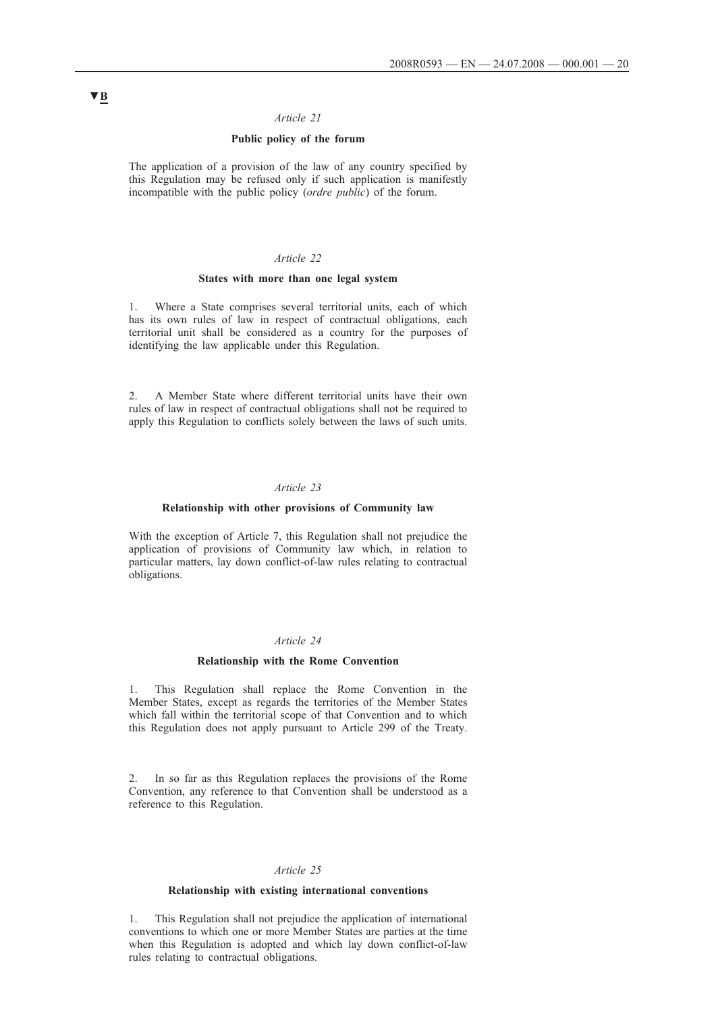## **Public policy of the forum**

The application of a provision of the law of any country specified by this Regulation may be refused only if such application is manifestly incompatible with the public policy (*ordre public*) of the forum.

## *Article 22*

#### **States with more than one legal system**

1. Where a State comprises several territorial units, each of which has its own rules of law in respect of contractual obligations, each territorial unit shall be considered as a country for the purposes of identifying the law applicable under this Regulation.

2. A Member State where different territorial units have their own rules of law in respect of contractual obligations shall not be required to apply this Regulation to conflicts solely between the laws of such units.

#### *Article 23*

#### **Relationship with other provisions of Community law**

With the exception of Article 7, this Regulation shall not prejudice the application of provisions of Community law which, in relation to particular matters, lay down conflict-of-law rules relating to contractual obligations.

#### *Article 24*

#### **Relationship with the Rome Convention**

1. This Regulation shall replace the Rome Convention in the Member States, except as regards the territories of the Member States which fall within the territorial scope of that Convention and to which this Regulation does not apply pursuant to Article 299 of the Treaty.

2. In so far as this Regulation replaces the provisions of the Rome Convention, any reference to that Convention shall be understood as a reference to this Regulation.

#### *Article 25*

### **Relationship with existing international conventions**

1. This Regulation shall not prejudice the application of international conventions to which one or more Member States are parties at the time when this Regulation is adopted and which lay down conflict-of-law rules relating to contractual obligations.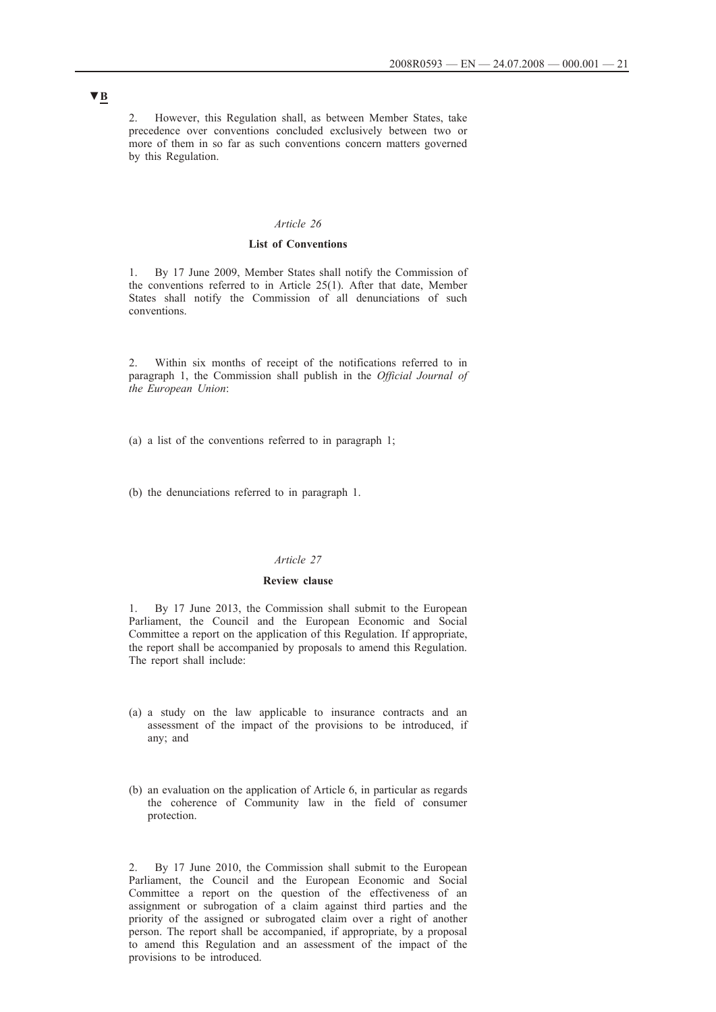2. However, this Regulation shall, as between Member States, take precedence over conventions concluded exclusively between two or more of them in so far as such conventions concern matters governed by this Regulation.

## *Article 26*

## **List of Conventions**

1. By 17 June 2009, Member States shall notify the Commission of the conventions referred to in Article 25(1). After that date, Member States shall notify the Commission of all denunciations of such conventions.

2. Within six months of receipt of the notifications referred to in paragraph 1, the Commission shall publish in the *Official Journal of the European Union*:

(a) a list of the conventions referred to in paragraph 1;

(b) the denunciations referred to in paragraph 1.

### *Article 27*

#### **Review clause**

1. By 17 June 2013, the Commission shall submit to the European Parliament, the Council and the European Economic and Social Committee a report on the application of this Regulation. If appropriate, the report shall be accompanied by proposals to amend this Regulation. The report shall include:

- (a) a study on the law applicable to insurance contracts and an assessment of the impact of the provisions to be introduced, if any; and
- (b) an evaluation on the application of Article 6, in particular as regards the coherence of Community law in the field of consumer protection.

2. By 17 June 2010, the Commission shall submit to the European Parliament, the Council and the European Economic and Social Committee a report on the question of the effectiveness of an assignment or subrogation of a claim against third parties and the priority of the assigned or subrogated claim over a right of another person. The report shall be accompanied, if appropriate, by a proposal to amend this Regulation and an assessment of the impact of the provisions to be introduced.